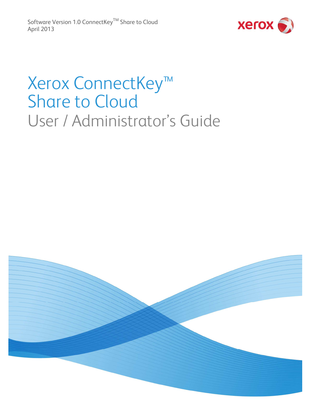

## Xerox ConnectKey™ Share to Cloud User / Administrator's Guide

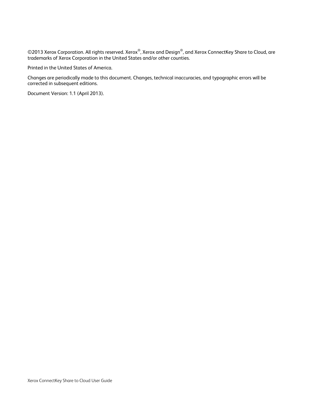©2013 Xerox Corporation. All rights reserved. Xerox®, Xerox and Design®, and Xerox ConnectKey Share to Cloud, are trademarks of Xerox Corporation in the United States and/or other counties.

Printed in the United States of America.

Changes are periodically made to this document. Changes, technical inaccuracies, and typographic errors will be corrected in subsequent editions.

Document Version: 1.1 (April 2013).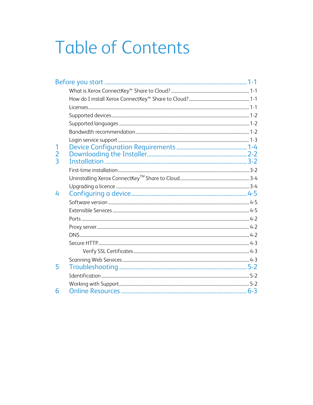# **Table of Contents**

| 3 |  |
|---|--|
|   |  |
|   |  |
|   |  |
| 4 |  |
|   |  |
|   |  |
|   |  |
|   |  |
|   |  |
|   |  |
|   |  |
|   |  |
| 5 |  |
|   |  |
|   |  |
| 6 |  |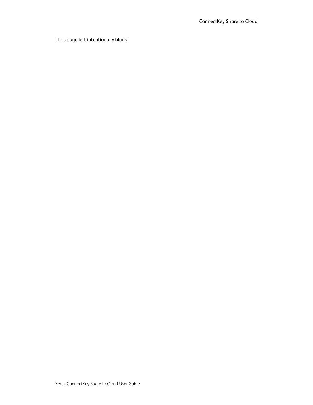[This page left intentionally blank]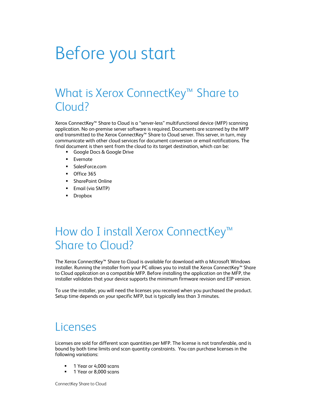### <span id="page-4-0"></span>Before you start

#### <span id="page-4-1"></span>What is *Xerox ConnectKey™ Share to Cloud*?

*Xerox ConnectKey™ Share to Cloud* is a "server-less" multifunctional device (MFP) scanning application. No on-premise server software is required. Documents are scanned by the MFP and transmitted to the *Xerox ConnectKey™ Share to Cloud* server. This server, in turn, may communicate with other cloud services for document conversion or email notifications. The final document is then sent from the cloud to its target destination, which can be:

- **Google Docs & Google Drive**
- **Evernote**
- SalesForce.com
- **Office 365**
- **SharePoint Online**
- **Email (via SMTP)**
- **Dropbox**

#### <span id="page-4-2"></span>How do I install *Xerox ConnectKey™ Share to Cloud*?

The *Xerox ConnectKey™ Share to Cloud* is available for download with a Microsoft Windows installer. Running the installer from your PC allows you to install the Xerox ConnectKey™ Share to Cloud application on a compatible MFP. Before installing the application on the MFP, the installer validates that your device supports the minimum firmware revision and EIP version.

To use the installer, you will need the licenses you received when you purchased the product. Setup time depends on your specific MFP, but is typically less than 3 minutes.

#### <span id="page-4-3"></span>**Licenses**

Licenses are sold for different scan quantities per MFP. The license is not transferable, and is bound by both time limits and scan quantity constraints. You can purchase licenses in the following variations:

- 1 Year or 4,000 scans
- 1 Year or 8,000 scans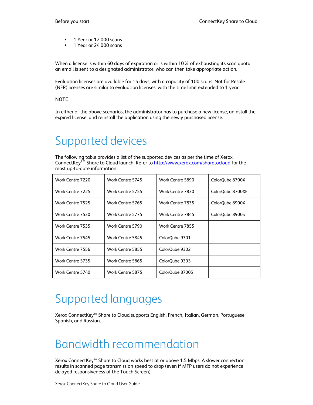- **1** Year or 12,000 scans
- **1** Year or 24,000 scans

When a license is within 60 days of expiration or is within 10% of exhausting its scan quota, an email is sent to a designated administrator, who can then take appropriate action.

Evaluation licenses are available for 15 days, with a capacity of 100 scans. Not for Resale (NFR) licenses are similar to evaluation licenses, with the time limit extended to 1 year.

#### **NOTE**

In either of the above scenarios, the administrator has to purchase a new license, uninstall the expired license, and reinstall the application using the newly purchased license.

#### <span id="page-5-0"></span>Supported devices

The following table provides a list of the supported devices as per the time of Xerox ConnectKey<sup>TM</sup> Share to Cloud launch. Refer to <http://www.xerox.com/sharetocloud> for the most up-to-date information.

| Work Centre 7220 | Work Centre 5745 | Work Centre 5890 | ColorQube 8700X  |
|------------------|------------------|------------------|------------------|
| Work Centre 7225 | Work Centre 5755 | Work Centre 7830 | ColorQube 8700XF |
| Work Centre 7525 | Work Centre 5765 | Work Centre 7835 | ColorQube 8900X  |
| Work Centre 7530 | Work Centre 5775 | Work Centre 7845 | ColorQube 8900S  |
| Work Centre 7535 | Work Centre 5790 | Work Centre 7855 |                  |
| Work Centre 7545 | Work Centre 5845 | ColorQube 9301   |                  |
| Work Centre 7556 | Work Centre 5855 | ColorQube 9302   |                  |
| Work Centre 5735 | Work Centre 5865 | ColorQube 9303   |                  |
| Work Centre 5740 | Work Centre 5875 | ColorQube 8700S  |                  |

#### <span id="page-5-1"></span>Supported languages

*Xerox ConnectKey™ Share to Cloud* supports English, French, Italian, German, Portuguese, Spanish, and Russian.

### <span id="page-5-2"></span>Bandwidth recommendation

*Xerox ConnectKey™ Share to Cloud* works best at or above 1.5 Mbps. A slower connection results in scanned page transmission speed to drop (even if MFP users do not experience delayed responsiveness of the Touch Screen).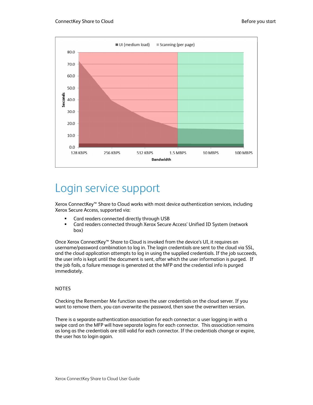

#### <span id="page-6-0"></span>Login service support

*Xerox ConnectKey™ Share to Cloud* works with most device authentication services, including Xerox Secure Access, supported via:

- **Card readers connected directly through USB**
- Card readers connected through Xerox Secure Access' Unified ID System (network box)

Once *Xerox ConnectKey™ Share to Cloud* is invoked from the device's UI, it requires an username/password combination to log in. The login credentials are sent to the cloud via SSL, and the cloud application attempts to log in using the supplied credentials. If the job succeeds, the user info is kept until the document is sent, after which the user information is purged. If the job fails, a failure message is generated at the MFP and the credential info is purged immediately.

#### **NOTES**

Checking the **Remember Me** function saves the user credentials on the cloud server. If you want to remove them, you can overwrite the password, then save the overwritten version.

There is a separate authentication association for each connector: a user logging in with a swipe card on the MFP will have separate logins for each connector. This association remains as long as the credentials are still valid for each connector. If the credentials change or expire, the user has to login again.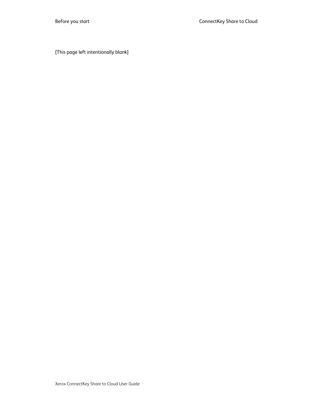<span id="page-7-0"></span>[This page left intentionally blank]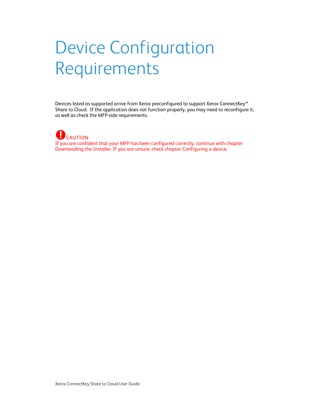## Device Configuration Requirements

Devices listed as supported arrive from Xerox preconfigured to support *Xerox ConnectKey™ Share to Cloud.* If the application does not function properly, you may need to reconfigure it, as well as check the MFP-side requirements.

 $\bigcirc$  CAUTION

If you are confident that your MFP has been configured correctly, continue with chapter Downloading the Installer. If you are unsure, check chapter Configuring a device.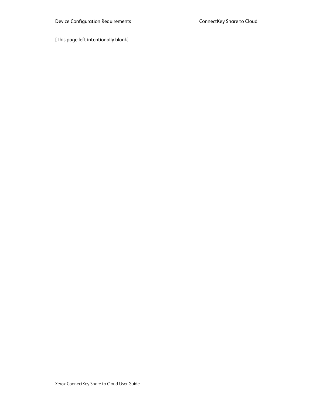[This page left intentionally blank]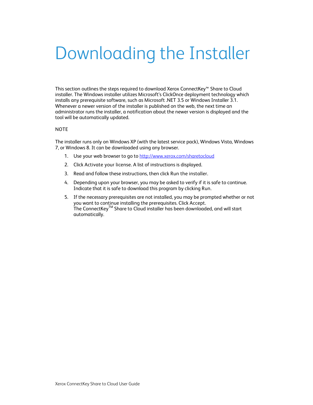## <span id="page-10-0"></span>Downloading the Installer

This section outlines the steps required to download *Xerox ConnectKey™ Share to Cloud* installer. The Windows installer utilizes Microsoft's *ClickOnce* deployment technology which installs any prerequisite software, such as Microsoft .NET 3.5 or Windows Installer 3.1. Whenever a newer version of the installer is published on the web, the next time an administrator runs the installer, a notification about the newer version is displayed and the tool will be automatically updated.

#### **NOTE**

The installer runs only on Windows XP (with the latest service pack), Windows Vista, Windows 7, or Windows 8. It can be downloaded using any browser.

- 1. Use your web browser to go to <http://www.xerox.com/sharetocloud>
- 2. Click **Activate your license**. A list of instructions is displayed.
- 3. Read and follow these instructions, then click **Run the installer**.
- 4. Depending upon your browser, you may be asked to verify if it is safe to continue. Indicate that it is safe to download this program by clicking **Run**.
- 5. If the necessary prerequisites are not installed, you may be prompted whether or not you want to continue installing the prerequisites. Click **Accept**. The ConnectKey<sup>TM</sup> Share to Cloud installer has been downloaded, and will start automatically.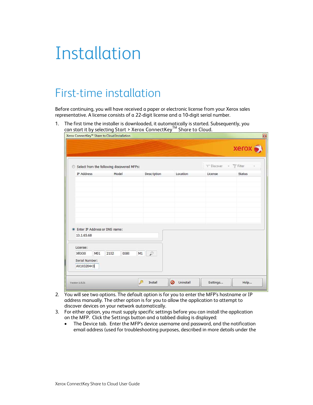## <span id="page-11-0"></span>**Installation**

#### <span id="page-11-1"></span>First-time installation

Before continuing, you will have received a paper or electronic license from your Xerox sales representative. A license consists of a 22-digit license and a 10-digit serial number.

1. The first time the installer is downloaded, it automatically is started. Subsequently, you can start it by selecting **Start > Xerox ConnectKeyTM Share to Cloud**.

| Xerox ConnectKey™ Share to Cloud Installation |              |                     |           |                     |              |
|-----------------------------------------------|--------------|---------------------|-----------|---------------------|--------------|
|                                               |              |                     |           |                     | <b>Xerox</b> |
| Select from the following discovered MFPs:    |              |                     |           | T Discover + Filter |              |
| <b>IP Address</b>                             | Model        | Description         | Location  | License             | Status       |
|                                               |              |                     |           |                     |              |
|                                               |              |                     |           |                     |              |
|                                               |              |                     |           |                     |              |
|                                               |              |                     |           |                     |              |
|                                               |              |                     |           |                     |              |
|                                               |              |                     |           |                     |              |
| • Enter IP Address or DNS name:               |              |                     |           |                     |              |
| 10.1.65.68                                    |              |                     |           |                     |              |
| License:                                      |              |                     |           |                     |              |
| XRX00<br>M <sub>01</sub>                      | 2102<br>0080 | $\mathcal{P}$<br>M1 |           |                     |              |
| Serial Number:                                |              |                     |           |                     |              |
| AX10320443                                    |              |                     |           |                     |              |
|                                               |              |                     | Ø         |                     |              |
| Version 1.0.21                                |              | Install             | Uninstall | Settings            | Help         |

- 2. You will see two options. The default option is for you to enter the MFP's hostname or IP address manually. The other option is for you to allow the application to attempt to discover devices on your network automatically.
- 3. For either option, you must supply specific settings before you can install the application on the MFP. Click the **Settings** button and a tabbed dialog is displayed:
	- The **Device** tab. Enter the MFP's device username and password, and the notification email address (used for troubleshooting purposes, described in more details under the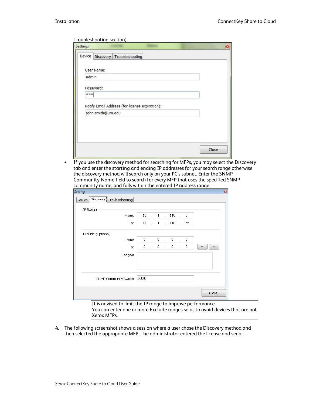| Device<br>Discovery Troubleshooting            |  |
|------------------------------------------------|--|
| User Name:                                     |  |
| admin                                          |  |
| Password:                                      |  |
| ***                                            |  |
|                                                |  |
| Notify Email Address (for license expiration): |  |
| john.smith@um.edu                              |  |
|                                                |  |
|                                                |  |
|                                                |  |
|                                                |  |

 If you use the *discovery* method for searching for MFPs, you may select the **Discovery** tab and enter the **starting** and **ending** IP addresses for your search range otherwise the discovery method will search only on your PC's subnet. Enter the **SNMP Community Name** field to search for every MFP that uses the specified SNMP community name, and falls within the entered IP address range.  $\overline{\phantom{a}}$ 

| Device   Discovery   Troubleshooting |                 |            |           |                             |      |           |
|--------------------------------------|-----------------|------------|-----------|-----------------------------|------|-----------|
| IP Range                             |                 |            |           |                             |      |           |
| From:                                | 10 <sub>1</sub> | $\ldots$ 1 | . 110     | $\mathcal{L}_{\mathcal{A}}$ | 0    |           |
| To:                                  | 11              | $\cdots$ 1 | . 110     |                             | .255 |           |
| Exclude (Optional)                   |                 |            |           |                             |      |           |
| From:                                | 0               | $\cdot$ 0  | $\cdot$ 0 | <b>College</b>              | 0    |           |
| To:                                  | 0               | $\cdot$ 0  | $\cdot$ 0 | $\sim$                      | 0    | $\ddot{}$ |
| Ranges:                              |                 |            |           |                             |      |           |
|                                      |                 |            |           |                             |      |           |
| SNMP Community Name:                 | public          |            |           |                             |      |           |
|                                      |                 |            |           |                             |      | Close     |

It is advised to *limit* the IP range to improve performance. You can enter one or more **Exclude** ranges so as to avoid devices that are not Xerox MFPs.

4. The following screenshot shows a session where a user chose the *Discovery* method and then selected the appropriate MFP. The administrator entered the license and serial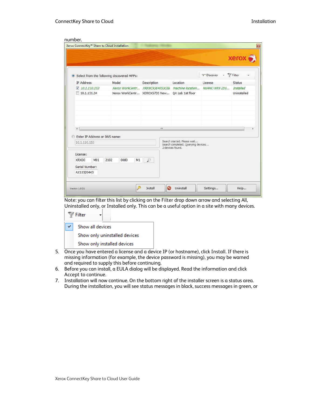|                                                            | Select from the following discovered MFPs:                        |                |                                                                   | - Filter<br><b>T</b> Discover |                          |
|------------------------------------------------------------|-------------------------------------------------------------------|----------------|-------------------------------------------------------------------|-------------------------------|--------------------------|
| <b>IP Address</b>                                          | Model                                                             | Description    | Location                                                          | License                       | <b>Status</b>            |
| $\n  10.1.110.153\n$<br>10.1.151.34                        | Xerox WorkCentr<br>Xerox WorkCentr XEROX5735 New OA Lab 1st floor |                | XRX9C93E4053CE6 machine location                                  | NUANC-XRX-210                 | Installed<br>Uninstalled |
| $\langle$<br>Enter IP Address or DNS name:<br>10.1.110.153 |                                                                   | 册              | Search started. Please wait<br>Search completed. Querying devices |                               |                          |
| License:<br>XRX00<br>M01                                   | M1<br>2102<br>0080                                                | ₽              | 2 devices found.                                                  |                               |                          |
| Serial Number:<br>AX10320443                               |                                                                   |                |                                                                   |                               |                          |
| Version 1.0.21                                             |                                                                   | <b>Install</b> | 0<br>Uninstall                                                    | Settings                      | Help                     |

- 5. Once you have entered a license and a device IP (or hostname), click **Install**. If there is missing information (for example, the device password is missing), you may be warned and required to supply this before continuing.
- 6. Before you can install, a EULA dialog will be displayed. Read the information and click **Accept** to continue.
- 7. Installation will now continue. On the bottom right of the installer screen is a status area. During the installation, you will see status messages in black, success messages in green, or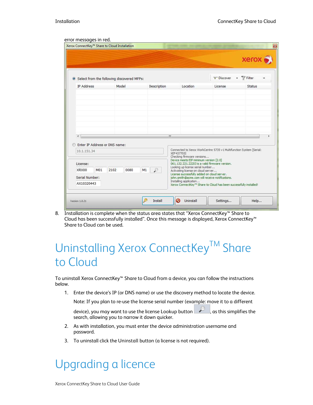#### error messages in red.

|                               |                                            |                     |                                                                                                                                                                          |                   | xerox         |  |  |
|-------------------------------|--------------------------------------------|---------------------|--------------------------------------------------------------------------------------------------------------------------------------------------------------------------|-------------------|---------------|--|--|
|                               | Select from the following discovered MFPs: |                     |                                                                                                                                                                          | <b>T</b> Discover | ▼ 下 Filter    |  |  |
| <b>IP Address</b>             | Model                                      | Description         | Location                                                                                                                                                                 | License           | <b>Status</b> |  |  |
|                               |                                            |                     |                                                                                                                                                                          |                   |               |  |  |
|                               |                                            |                     |                                                                                                                                                                          |                   |               |  |  |
|                               |                                            |                     |                                                                                                                                                                          |                   |               |  |  |
|                               |                                            |                     |                                                                                                                                                                          |                   |               |  |  |
| $\prec$                       |                                            |                     | m.                                                                                                                                                                       |                   |               |  |  |
| Enter IP Address or DNS name: |                                            |                     |                                                                                                                                                                          |                   |               |  |  |
| 10.1.151.34                   |                                            |                     | Connected to Xerox WorkCentre 5735 v1 Multifunction System [Serial:<br>XEF437705]                                                                                        |                   |               |  |  |
| License:                      |                                            |                     | Checking firmware versions<br>Device meets EIP minimum version [2.0]<br>061.132.221.22203 is a valid firmware version.                                                   |                   |               |  |  |
| XRX00<br>M <sub>01</sub>      | 2102<br>0080                               | $\mathcal{P}$<br>M1 | Looking up license serial number<br>Activating license on cloud server<br>License successfully added on cloud server.<br>john.smith@acme.com will receive notifications. |                   |               |  |  |
| Serial Number:                |                                            |                     |                                                                                                                                                                          |                   |               |  |  |
| AX10320443                    |                                            |                     | Installing application<br>Xerox ConnectKey™ Share to Cloud has been successfully installed!                                                                              |                   |               |  |  |
|                               |                                            |                     |                                                                                                                                                                          |                   |               |  |  |

8. Installation is complete when the status area states that "Xerox ConnectKey™ Share to Cloud has been successfully installed". Once this message is displayed, *Xerox ConnectKey™ Share to Cloud* can be used.

### <span id="page-14-0"></span>Uninstalling Xerox ConnectKey™ Share to Cloud

To uninstall *Xerox ConnectKey™ Share to Cloud* from a device, you can follow the instructions below.

1. Enter the device's IP (or DNS name) or use the discovery method to locate the device.

Note: If you plan to re-use the license serial number (example: move it to a different

device), you may want to use the license Lookup button **the same of the state of the device**), you may want to use the search, allowing you to narrow it down quicker.

- 2. As with installation, you must enter the device administration username and password.
- 3. To uninstall click the **Uninstall** button (a license is not required).

### <span id="page-14-1"></span>Upgrading a licence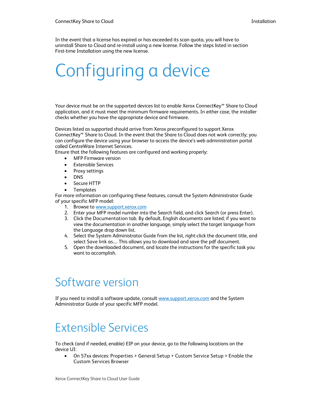In the event that a license has expired or has exceeded its scan quota, you will have to uninstall Share to Cloud and re-install using a new license. Follow the steps listed in section First-time Installation using the new license.

## <span id="page-15-0"></span>Configuring a device

Your device must be on the supported devices list to enable *Xerox ConnectKey™ Share to Cloud* application, and it must meet the minimum firmware requirements. In either case, the installer checks whether you have the appropriate device and firmware.

Devices listed as supported should arrive from Xerox preconfigured to support *Xerox ConnectKey™ Share to Cloud.* In the event that the Share to Cloud does not work correctly; you can configure the device using your browser to access the device's web administration portal called *CentreWare Internet Services.*

Ensure that the following features are configured and working properly:

- MFP Firmware version
- Extensible Services
- Proxy settings
- DNS
- Secure HTTP
- **Templates**

For more information on configuring these features, consult the System Administrator Guide of your specific MFP model:

- 1. Browse to [www.support.xerox.com](http://www.support.xerox.com/)
- 2. Enter your MFP model number into the Search field, and click Search (or press Enter).
- 3. Click the **Documentation** tab. By default, English documents are listed; if you want to view the documentation in another language, simply select the target language from the Language drop down list.
- 4. Select the System Administrator Guide from the list, right-click the document title, and select **Save link as....** This allows you to download and save the pdf document.
- 5. Open the downloaded document, and locate the instructions for the specific task you want to accomplish.

#### <span id="page-15-1"></span>Software version

If you need to install a software update, consult [www.support.xerox.com](http://www.support.xerox.com/) and the System Administrator Guide of your specific MFP model.

### <span id="page-15-2"></span>Extensible Services

To check (and if needed, enable) EIP on your device, go to the following locations on the device UI:

 On 57xx devices: **Properties > General Setup > Custom Service Setup > Enable the Custom Services Browser**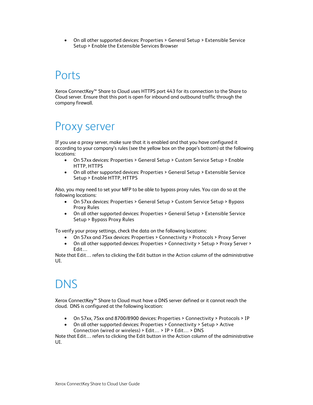On all other supported devices: **Properties > General Setup > Extensible Service Setup > Enable the Extensible Services Browser**

#### <span id="page-16-0"></span>**Ports**

*Xerox ConnectKey™ Share to Cloud* uses HTTPS port 443 for its connection to the Share to Cloud server. Ensure that this port is open for inbound and outbound traffic through the company firewall.

#### <span id="page-16-1"></span>Proxy server

If you use a proxy server, make sure that it is enabled and that you have configured it according to your company's rules (see the yellow box on the page's bottom) at the following locations:

- On 57xx devices: **Properties > General Setup > Custom Service Setup > Enable HTTP, HTTPS**
- On all other supported devices: **Properties > General Setup > Extensible Service Setup > Enable HTTP, HTTPS**

Also, you may need to set your MFP to be able to bypass proxy rules. You can do so at the following locations:

- On 57xx devices: **Properties > General Setup > Custom Service Setup > Bypass Proxy Rules**
- On all other supported devices: **Properties > General Setup > Extensible Service Setup > Bypass Proxy Rules**

To verify your proxy settings, check the data on the following locations:

- On 57xx and 75xx devices: **Properties > Connectivity > Protocols > Proxy Server**
- On all other supported devices: **Properties > Connectivity > Setup > Proxy Server > Edit…**

Note that **Edit…** refers to clicking the **Edit** button in the **Action** column of the administrative UI.

#### <span id="page-16-2"></span>**DNS**

*Xerox ConnectKey™ Share to Cloud* must have a DNS server defined or it cannot reach the cloud. DNS is configured at the following location:

- On 57xx, 75xx and 8700/8900 devices: **Properties > Connectivity > Protocols > IP**
- On all other supported devices: **Properties > Connectivity > Setup > Active Connection (wired or wireless) > Edit… > IP > Edit… > DNS**

Note that **Edit…** refers to clicking the **Edit** button in the **Action** column of the administrative UI.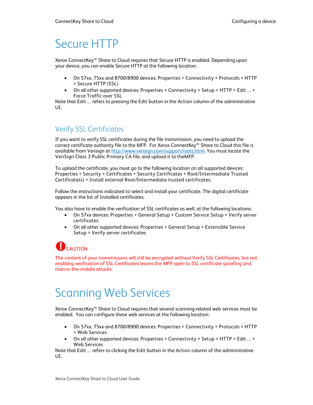#### <span id="page-17-0"></span>Secure HTTP

*Xerox ConnectKey™ Share to Cloud* requires that Secure HTTP is enabled. Depending upon your device, you can enable Secure HTTP at the following location:

- On 57xx, 75xx and 8700/8900 devices: **Properties > Connectivity > Protocols > HTTP > Secure HTTP (SSL)**
- On all other supported devices: **Properties > Connectivity > Setup > HTTP > Edit… > Force Traffic over SSL**

Note that **Edit…** refers to pressing the **Edit** button in the **Action** column of the administrative UI.

#### <span id="page-17-1"></span>Verify SSL Certificates

If you want to verify SSL certificates during the file transmission, you need to upload the correct certificate authority file to the MFP. For *Xerox ConnectKey™ Share to Cloud* this file is available from Verisign at <http://www.verisign.com/support/roots.html>. You must locate the **VeriSign Class 3 Public Primary CA** file, and upload it to theMFP.

To upload the certificate, you must go to the following location on all supported devices: **Properties > Security > Certificates > Security Certificates > Root/Intermediate Trusted Certificate(s) > Install external Root/Intermediate trusted certificates.**

Follow the instructions indicated to select and install your certificate. The digital certificate appears in the list of Installed certificates.

You also have to enable the verification of SSL certificates as well, at the following locations:

- On 57xx devices: **Properties > General Setup > Custom Service Setup > Verify server certificates**
- On all other supported devices: **Properties > General Setup > Extensible Service Setup > Verify server certificates**

#### **D** CAUTION

The content of your transmissions will still be encrypted without Verify SSL Certificates, but not enabling verification of SSL Certificates leaves the MFP open to SSL certificate spoofing and man-in-the-middle attacks.

### <span id="page-17-2"></span>Scanning Web Services

*Xerox ConnectKey™ Share to Cloud* requires that several scanning-related web services must be enabled. You can configure these web services at the following location:

- On 57xx, 75xx and 8700/8900 devices: **Properties > Connectivity > Protocols > HTTP > Web Services**
- On all other supported devices: **Properties > Connectivity > Setup > HTTP > Edit… > Web Services**

Note that **Edit…** refers to clicking the **Edit** button in the **Action** column of the administrative UI.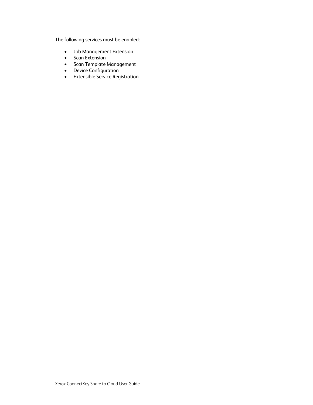The following services must be enabled:

- Job Management Extension
- Scan Extension
- **Scan Template Management**
- **•** Device Configuration
- Extensible Service Registration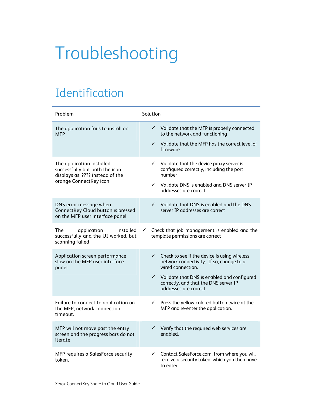# <span id="page-19-0"></span>**Troubleshooting**

### <span id="page-19-1"></span>Identification

| Problem                                                                                                                   | Solution                                                                                                                                                                                                                                             |  |
|---------------------------------------------------------------------------------------------------------------------------|------------------------------------------------------------------------------------------------------------------------------------------------------------------------------------------------------------------------------------------------------|--|
| The application fails to install on<br><b>MFP</b>                                                                         | $\checkmark$ Validate that the MFP is properly connected<br>to the network and functioning<br>Validate that the MFP has the correct level of<br>✓<br>firmware                                                                                        |  |
| The application installed<br>successfully but both the icon<br>displays as '???? instead of the<br>orange ConnectKey icon | Validate that the device proxy server is<br>$\checkmark$<br>configured correctly, including the port<br>number<br>Validate DNS is enabled and DNS server IP<br>$\checkmark$<br>addresses are correct                                                 |  |
| DNS error message when<br>ConnectKey Cloud button is pressed<br>on the MFP user interface panel                           | $\checkmark$<br>Validate that DNS is enabled and the DNS<br>server IP addresses are correct                                                                                                                                                          |  |
| installed<br><b>The</b><br>application<br>successfully and the UI worked, but<br>scanning failed                          | Check that job management is enabled and the<br>$\checkmark$<br>template permissions are correct                                                                                                                                                     |  |
| Application screen performance<br>slow on the MFP user interface<br>panel                                                 | $\checkmark$<br>Check to see if the device is using wireless<br>network connectivity. If so, change to a<br>wired connection.<br>Validate that DNS is enabled and configured<br>✓<br>correctly, and that the DNS server IP<br>addresses are correct. |  |
| Failure to connect to application on<br>the MFP, network connection<br>timeout.                                           | Press the yellow-colored button twice at the<br>$\checkmark$<br>MFP and re-enter the application.                                                                                                                                                    |  |
| MFP will not move past the entry<br>screen and the progress bars do not<br>iterate                                        | $\checkmark$<br>Verify that the required web services are<br>enabled.                                                                                                                                                                                |  |
| MFP requires a SalesForce security<br>token.                                                                              | Contact SalesForce.com, from where you will<br>$\checkmark$<br>receive a security token, which you then have<br>to enter.                                                                                                                            |  |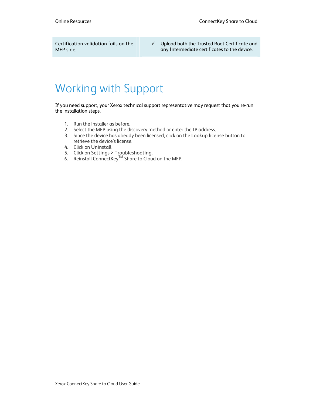**Certification validation fails on the MFP side.**

 $\checkmark$  Upload both the Trusted Root Certificate and any Intermediate certificates to the device.

### <span id="page-20-0"></span>Working with Support

If you need support, your Xerox technical support representative may request that you re-run the installation steps.

- 1. Run the installer as before.
- 2. Select the MFP using the discovery method or enter the IP address.
- 3. Since the device has already been licensed, click on the **Lookup license** button to retrieve the device's license.
- 4. Click on **Uninstall**.
- 5. Click on **Settings > Troubleshooting**.
- 6. Reinstall ConnectKeyTM Share to Cloud on the MFP.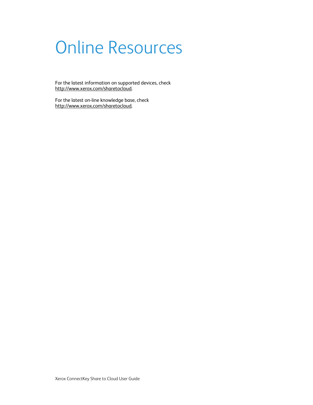## <span id="page-21-0"></span>**Online Resources**

For the latest information on supported devices, check http://www.xerox.com/sharetocloud.

For the latest on-line knowledge base, check <http://www.xerox.com/sharetocloud>.